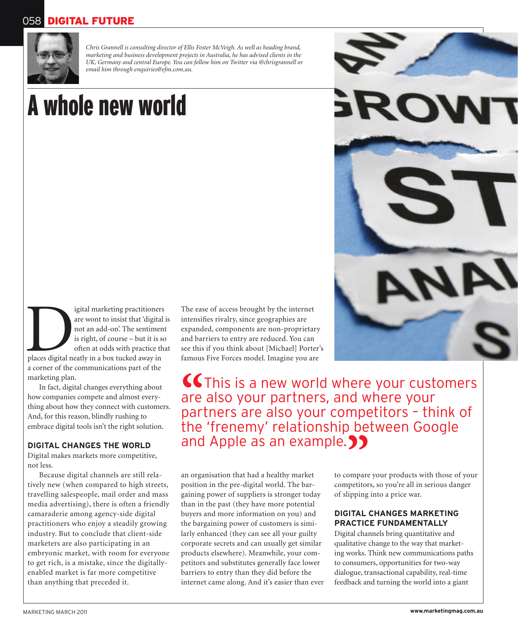# 058 DIGITAL FUTURE



*Chris Grannell is consulting director of Ellis Foster McVeigh. As well as heading brand, marketing and business development projects in Australia, he has advised clients in the UK, Germany and central Europe. You can follow him on Twitter via @chrisgrannell or email him through enquiries@efm.com.au.*

# A whole new world

Igital marketing practitioners<br>
are wont to insist that 'digital in<br>
not an add-on'. The sentiment<br>
is right, of course – but it is so<br>
often at odds with practice the<br>
places digital neatly in a box tucked away in are wont to insist that 'digital is not an add-on'. The sentiment is right, of course – but it is so often at odds with practice that a corner of the communications part of the marketing plan.

In fact, digital changes everything about how companies compete and almost everything about how they connect with customers. And, for this reason, blindly rushing to embrace digital tools isn't the right solution.

## **DIGITAL CHANGES THE WORLD**

Digital makes markets more competitive, not less.

Because digital channels are still relatively new (when compared to high streets, travelling salespeople, mail order and mass media advertising), there is often a friendly camaraderie among agency-side digital practitioners who enjoy a steadily growing industry. But to conclude that client-side marketers are also participating in an embryonic market, with room for everyone to get rich, is a mistake, since the digitallyenabled market is far more competitive than anything that preceded it.

The ease of access brought by the internet intensifies rivalry, since geographies are expanded, components are non-proprietary and barriers to entry are reduced. You can see this if you think about [Michael] Porter's famous Five Forces model. Imagine you are

**"**This is a new world where your customers are also your partners, and where your partners are also your competitors – think of the 'frenemy' relationship between Google and Apple as an example.<br>an organisation that had a healthy market to compare

an organisation that had a healthy market position in the pre-digital world. The bargaining power of suppliers is stronger today than in the past (they have more potential buyers and more information on you) and the bargaining power of customers is similarly enhanced (they can see all your guilty corporate secrets and can usually get similar products elsewhere). Meanwhile, your competitors and substitutes generally face lower barriers to entry than they did before the internet came along. And it's easier than ever to compare your products with those of your competitors, so you're all in serious danger of slipping into a price war.

## **DIGITAL CHANGES MARKETING PRACTICE FUNDAMENTALLY**

RO

Digital channels bring quantitative and qualitative change to the way that marketing works. Think new communications paths to consumers, opportunities for two-way dialogue, transactional capability, real-time feedback and turning the world into a giant